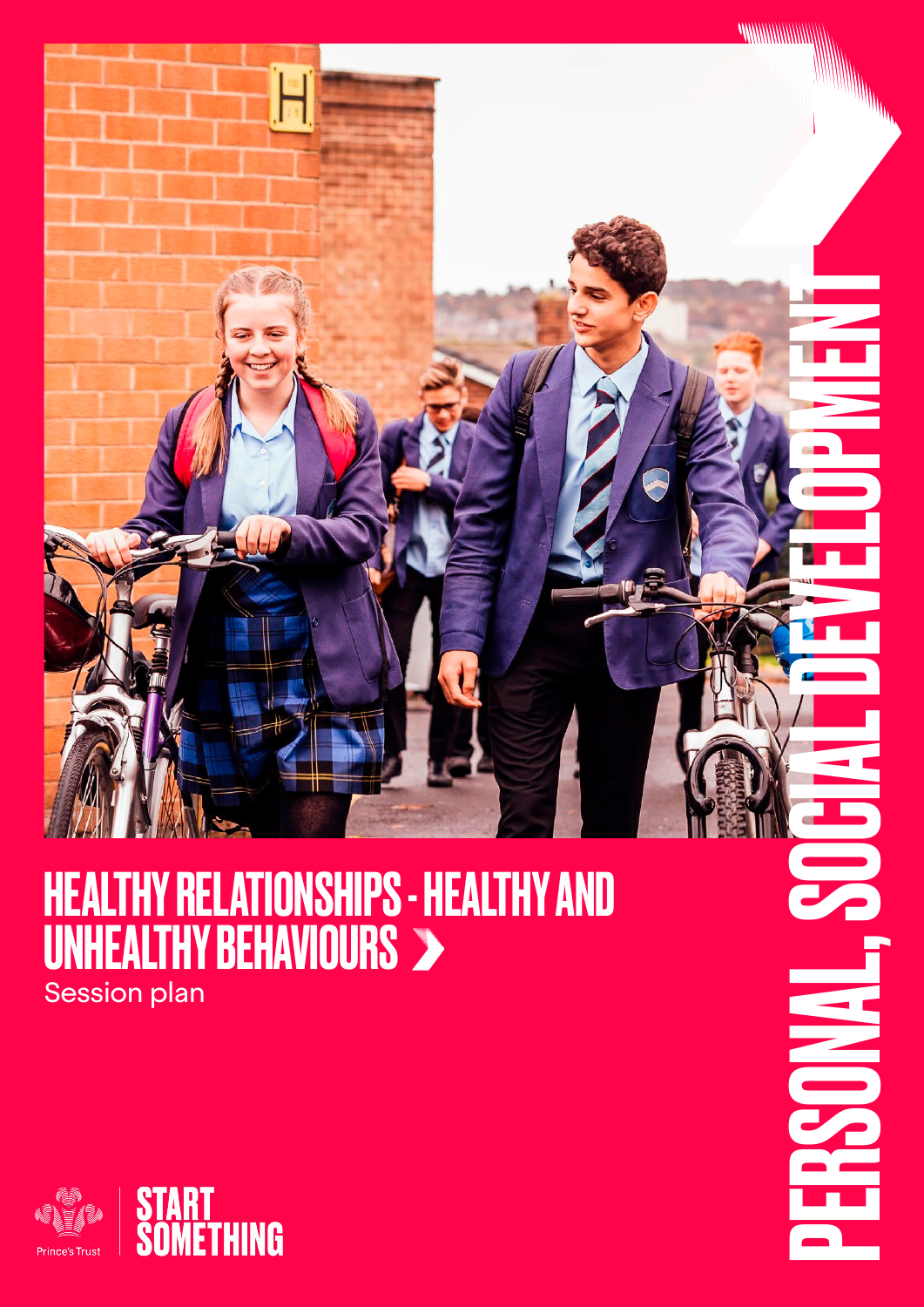

### HEALTHY RELATIONSHIPS - HEALTHY AND UNHEALTHY BEHAVIOURS Session plan

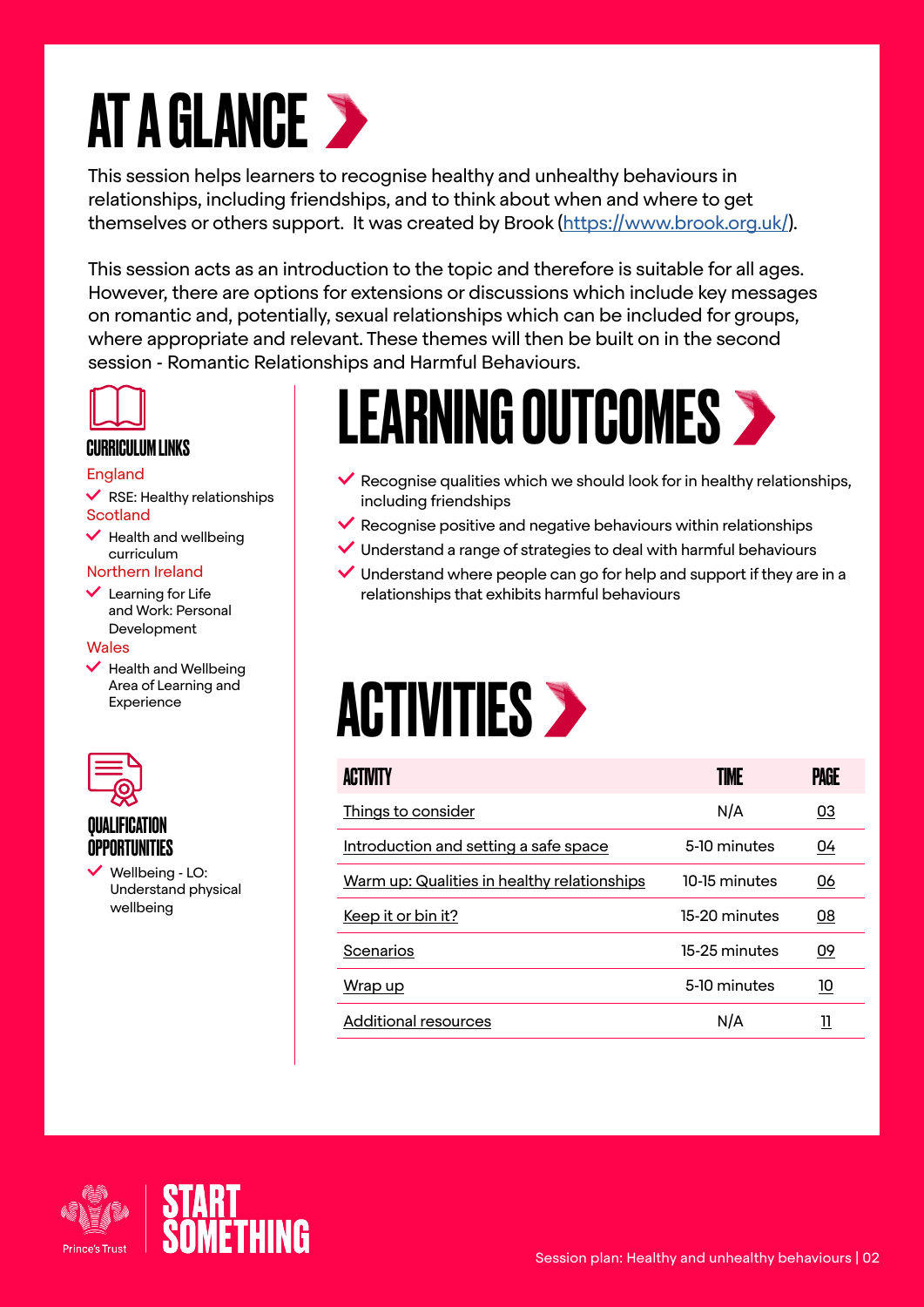### **AT A GLANCE >**

This session helps learners to recognise healthy and unhealthy behaviours in relationships, including friendships, and to think about when and where to get themselves or others support. It was created by Brook [\(https://www.brook.org.uk/](https://www.brook.org.uk/)).

This session acts as an introduction to the topic and therefore is suitable for all ages. However, there are options for extensions or discussions which include key messages on romantic and, potentially, sexual relationships which can be included for groups, where appropriate and relevant. These themes will then be built on in the second session - Romantic Relationships and Harmful Behaviours.



#### CURRICULUM LINKS

#### England

 $\vee$  RSE: Healthy relationships **Scotland** 

 $\blacktriangleright$  Health and wellbeing curriculum

#### Northern Ireland

 $\vee$  Learning for Life and Work: Personal Development

#### **Wales**

 $\blacktriangleright$  Health and Wellbeing Area of Learning and Experience



#### QUALIFICATION **OPPORTUNITIES**

 Wellbeing - LO: Understand physical wellbeing

### LEARNING OUTCOMES

- $\vee$  Recognise qualities which we should look for in healthy relationships, including friendships
- $\vee$  Recognise positive and negative behaviours within relationships
- $\vee$  Understand a range of strategies to deal with harmful behaviours
- $\vee$  Understand where people can go for help and support if they are in a relationships that exhibits harmful behaviours

### **ACTIVITIES >**

| ACTIVITY                                    | TIME          | PAGE       |  |
|---------------------------------------------|---------------|------------|--|
| Things to consider                          | N/A           | 03         |  |
| Introduction and setting a safe space       | 5-10 minutes  | 04         |  |
| Warm up: Qualities in healthy relationships | 10-15 minutes | <u>06</u>  |  |
| <u>Keep it or bin it?</u>                   | 15-20 minutes | <u>08</u>  |  |
| Scenarios                                   | 15-25 minutes | <u>09</u>  |  |
| <u>Wrap up</u>                              | 5-10 minutes  | <u> 10</u> |  |
| Additional resources                        | N/A           | 11         |  |

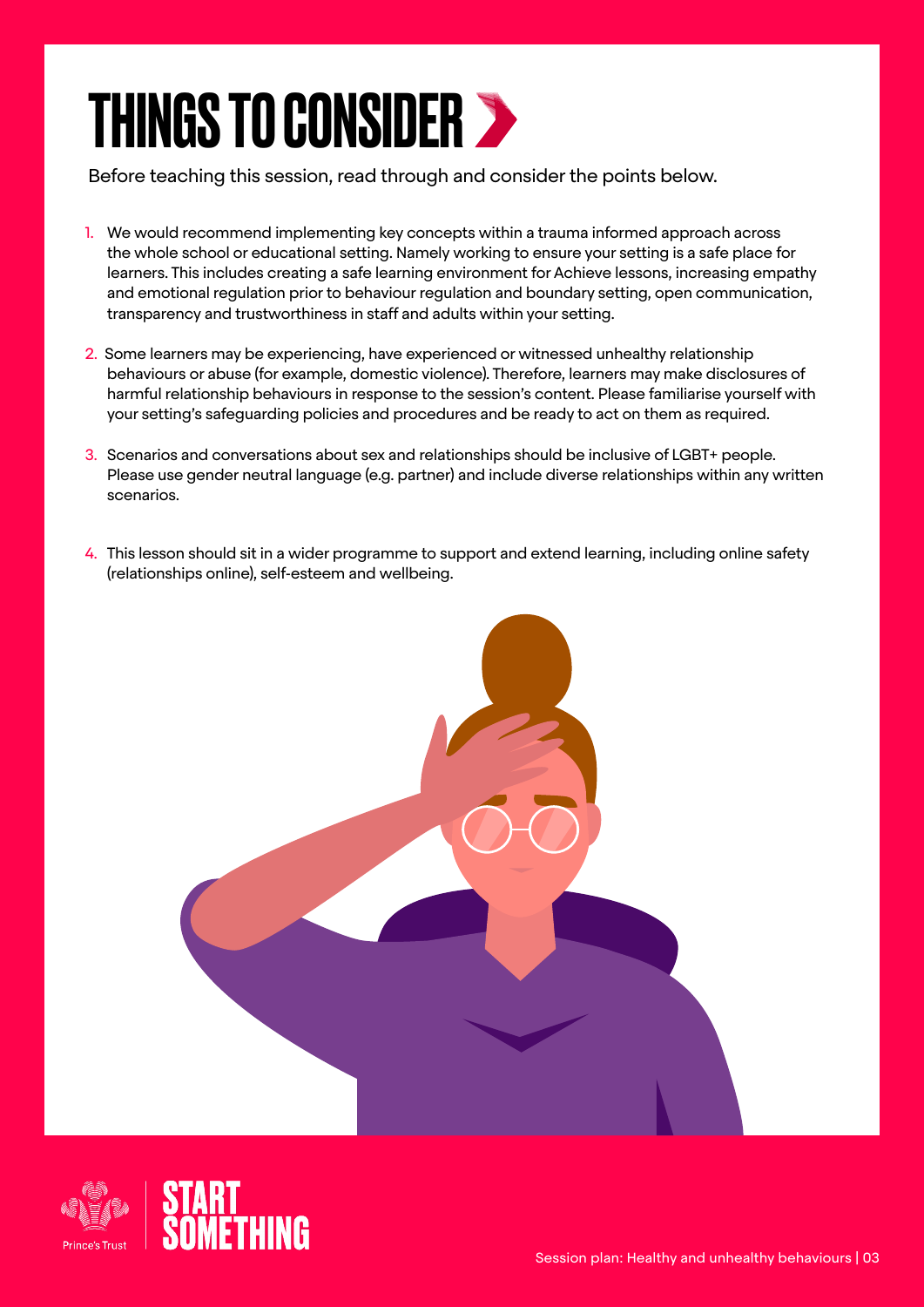### <span id="page-2-0"></span>THINGS TO CONSIDER

Before teaching this session, read through and consider the points below.

- 1. We would recommend implementing key concepts within a trauma informed approach across the whole school or educational setting. Namely working to ensure your setting is a safe place for learners. This includes creating a safe learning environment for Achieve lessons, increasing empathy and emotional regulation prior to behaviour regulation and boundary setting, open communication, transparency and trustworthiness in staff and adults within your setting.
- 2. Some learners may be experiencing, have experienced or witnessed unhealthy relationship behaviours or abuse (for example, domestic violence). Therefore, learners may make disclosures of harmful relationship behaviours in response to the session's content. Please familiarise yourself with your setting's safeguarding policies and procedures and be ready to act on them as required.
- 3. Scenarios and conversations about sex and relationships should be inclusive of LGBT+ people. Please use gender neutral language (e.g. partner) and include diverse relationships within any written scenarios.
- 4. This lesson should sit in a wider programme to support and extend learning, including online safety (relationships online), self-esteem and wellbeing.



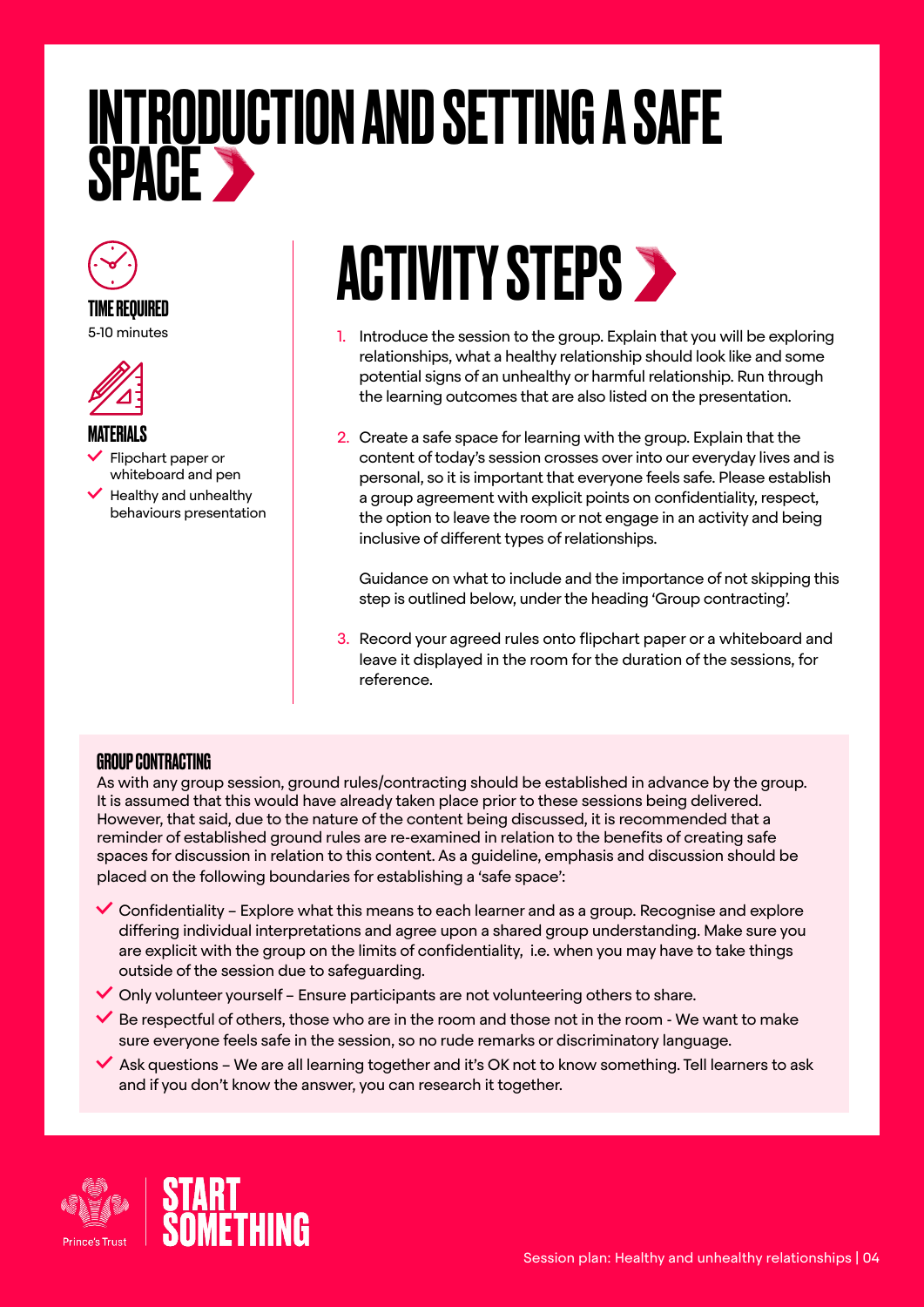### <span id="page-3-0"></span>INTRODUCTION AND SETTING A SAFE SPACE



#### TIME REQUIRED

5-10 minutes



#### MATERIALS

- Flipchart paper or whiteboard and pen
- $\blacktriangleright$  Healthy and unhealthy behaviours presentation

### **ACTIVITY STEPS >**

- 1. Introduce the session to the group. Explain that you will be exploring relationships, what a healthy relationship should look like and some potential signs of an unhealthy or harmful relationship. Run through the learning outcomes that are also listed on the presentation.
- 2. Create a safe space for learning with the group. Explain that the content of today's session crosses over into our everyday lives and is personal, so it is important that everyone feels safe. Please establish a group agreement with explicit points on confidentiality, respect, the option to leave the room or not engage in an activity and being inclusive of different types of relationships.

Guidance on what to include and the importance of not skipping this step is outlined below, under the heading 'Group contracting'.

3. Record your agreed rules onto flipchart paper or a whiteboard and leave it displayed in the room for the duration of the sessions, for reference.

#### GROUP CONTRACTING

As with any group session, ground rules/contracting should be established in advance by the group. It is assumed that this would have already taken place prior to these sessions being delivered. However, that said, due to the nature of the content being discussed, it is recommended that a reminder of established ground rules are re-examined in relation to the benefits of creating safe spaces for discussion in relation to this content. As a guideline, emphasis and discussion should be placed on the following boundaries for establishing a 'safe space':

- $\checkmark$  Confidentiality Explore what this means to each learner and as a group. Recognise and explore differing individual interpretations and agree upon a shared group understanding. Make sure you are explicit with the group on the limits of confidentiality, i.e. when you may have to take things outside of the session due to safeguarding.
- $\checkmark$  Only volunteer yourself Ensure participants are not volunteering others to share.
- $\blacktriangleright$  Be respectful of others, those who are in the room and those not in the room We want to make sure everyone feels safe in the session, so no rude remarks or discriminatory language.
- $\blacktriangleright$  Ask questions We are all learning together and it's OK not to know something. Tell learners to ask and if you don't know the answer, you can research it together.



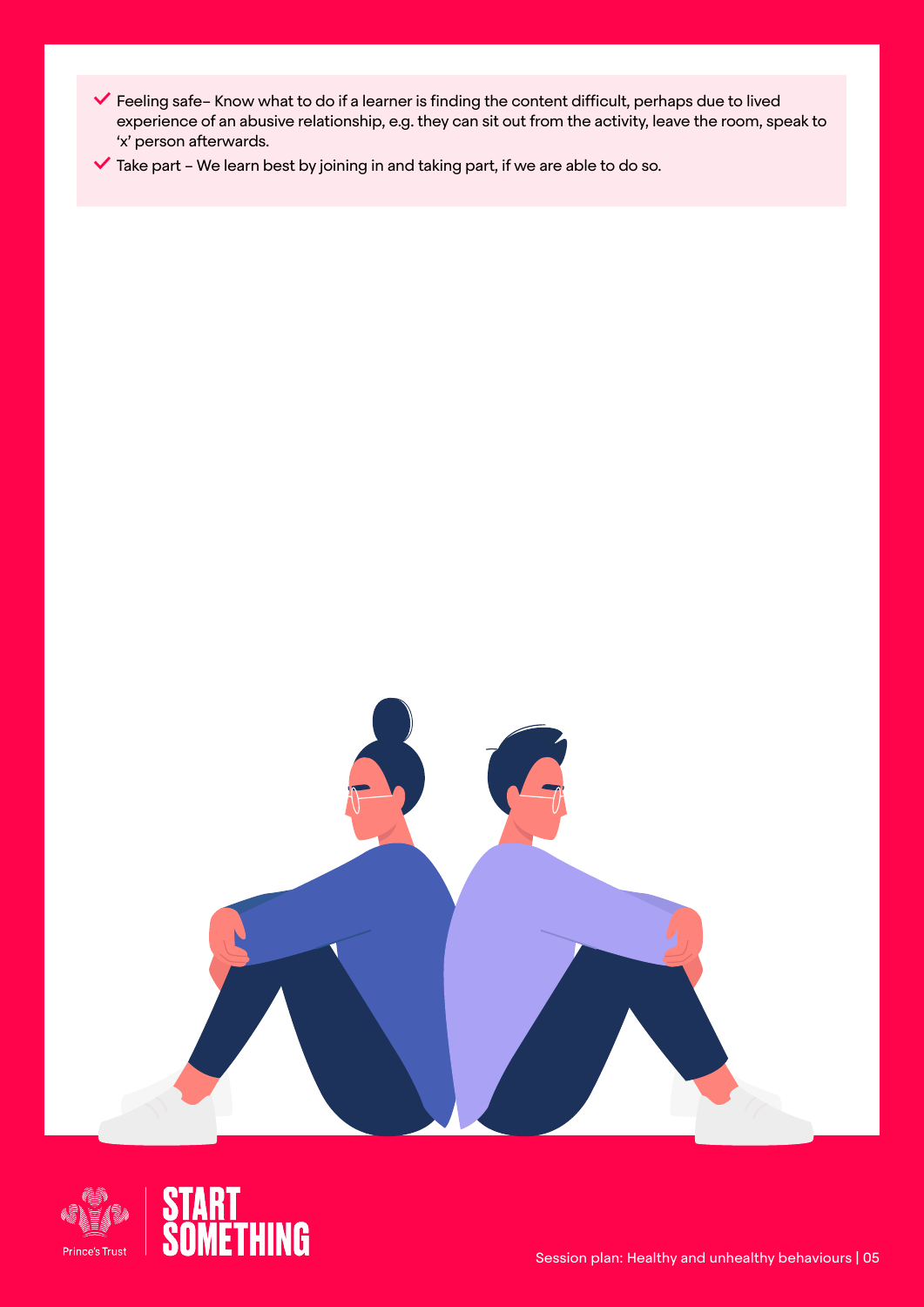- Feeling safe– Know what to do if a learner is finding the content difficult, perhaps due to lived experience of an abusive relationship, e.g. they can sit out from the activity, leave the room, speak to 'x' person afterwards.
- $\checkmark$  Take part We learn best by joining in and taking part, if we are able to do so.



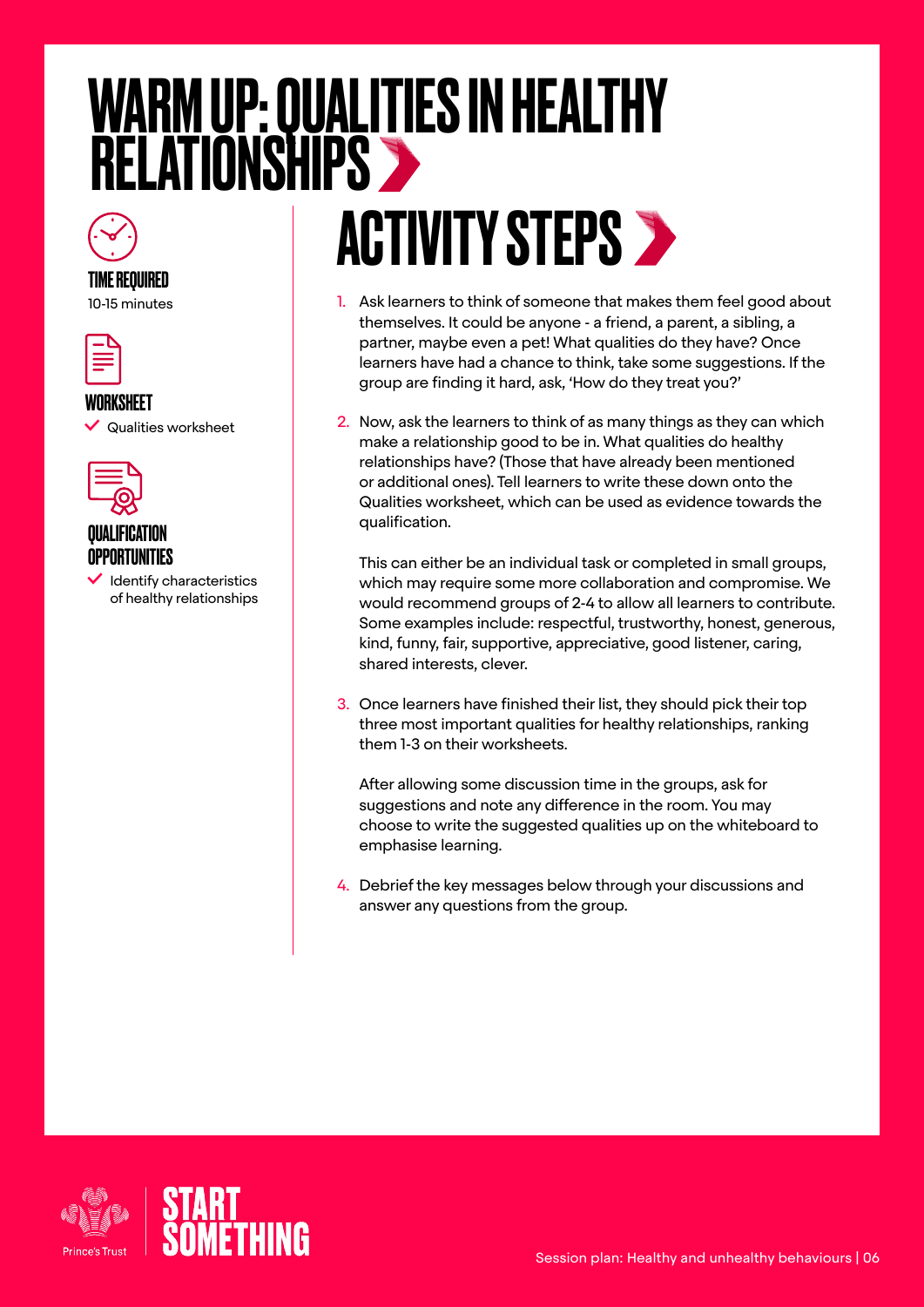### <span id="page-5-0"></span>WARM UP: QUALITIES IN HEALTHY RELATIONSHIPS

## **ACTIVITY STEPS >**

- 1. Ask learners to think of someone that makes them feel good about themselves. It could be anyone - a friend, a parent, a sibling, a partner, maybe even a pet! What qualities do they have? Once learners have had a chance to think, take some suggestions. If the group are finding it hard, ask, 'How do they treat you?'
- 2. Now, ask the learners to think of as many things as they can which make a relationship good to be in. What qualities do healthy relationships have? (Those that have already been mentioned or additional ones). Tell learners to write these down onto the Qualities worksheet, which can be used as evidence towards the qualification.

This can either be an individual task or completed in small groups, which may require some more collaboration and compromise. We would recommend groups of 2-4 to allow all learners to contribute. Some examples include: respectful, trustworthy, honest, generous, kind, funny, fair, supportive, appreciative, good listener, caring, shared interests, clever.

3. Once learners have finished their list, they should pick their top three most important qualities for healthy relationships, ranking them 1-3 on their worksheets.

After allowing some discussion time in the groups, ask for suggestions and note any difference in the room. You may choose to write the suggested qualities up on the whiteboard to emphasise learning.

4. Debrief the key messages below through your discussions and answer any questions from the group.



TIME REQUIRED 10-15 minutes

WORKSHEET

QUALIFICATION OPPORTUNITIES

 $\vee$  Qualities worksheet

tlentify characteristics of healthy relationships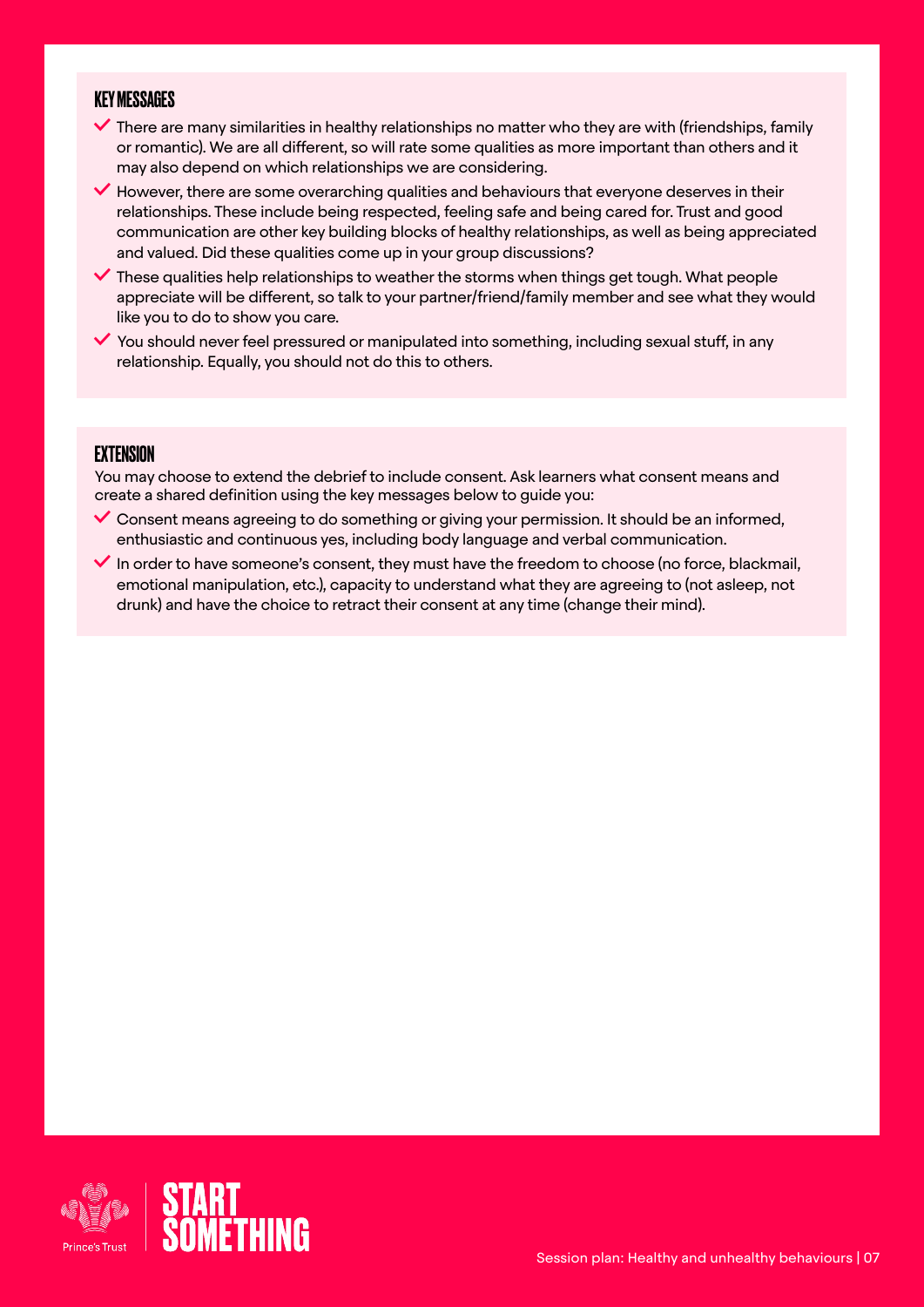#### KEY MESSAGES

- $\blacktriangledown$  There are many similarities in healthy relationships no matter who they are with (friendships, family or romantic). We are all different, so will rate some qualities as more important than others and it may also depend on which relationships we are considering.
- $\blacktriangleright$  However, there are some overarching qualities and behaviours that everyone deserves in their relationships. These include being respected, feeling safe and being cared for. Trust and good communication are other key building blocks of healthy relationships, as well as being appreciated and valued. Did these qualities come up in your group discussions?
- $\blacktriangledown$  These qualities help relationships to weather the storms when things get tough. What people appreciate will be different, so talk to your partner/friend/family member and see what they would like you to do to show you care.
- $\blacktriangledown$  You should never feel pressured or manipulated into something, including sexual stuff, in any relationship. Equally, you should not do this to others.

#### **EXTENSION**

You may choose to extend the debrief to include consent. Ask learners what consent means and create a shared definition using the key messages below to guide you:

- $\vee$  Consent means agreeing to do something or giving your permission. It should be an informed, enthusiastic and continuous yes, including body language and verbal communication.
- $\blacktriangleright$  In order to have someone's consent, they must have the freedom to choose (no force, blackmail, emotional manipulation, etc.), capacity to understand what they are agreeing to (not asleep, not drunk) and have the choice to retract their consent at any time (change their mind).

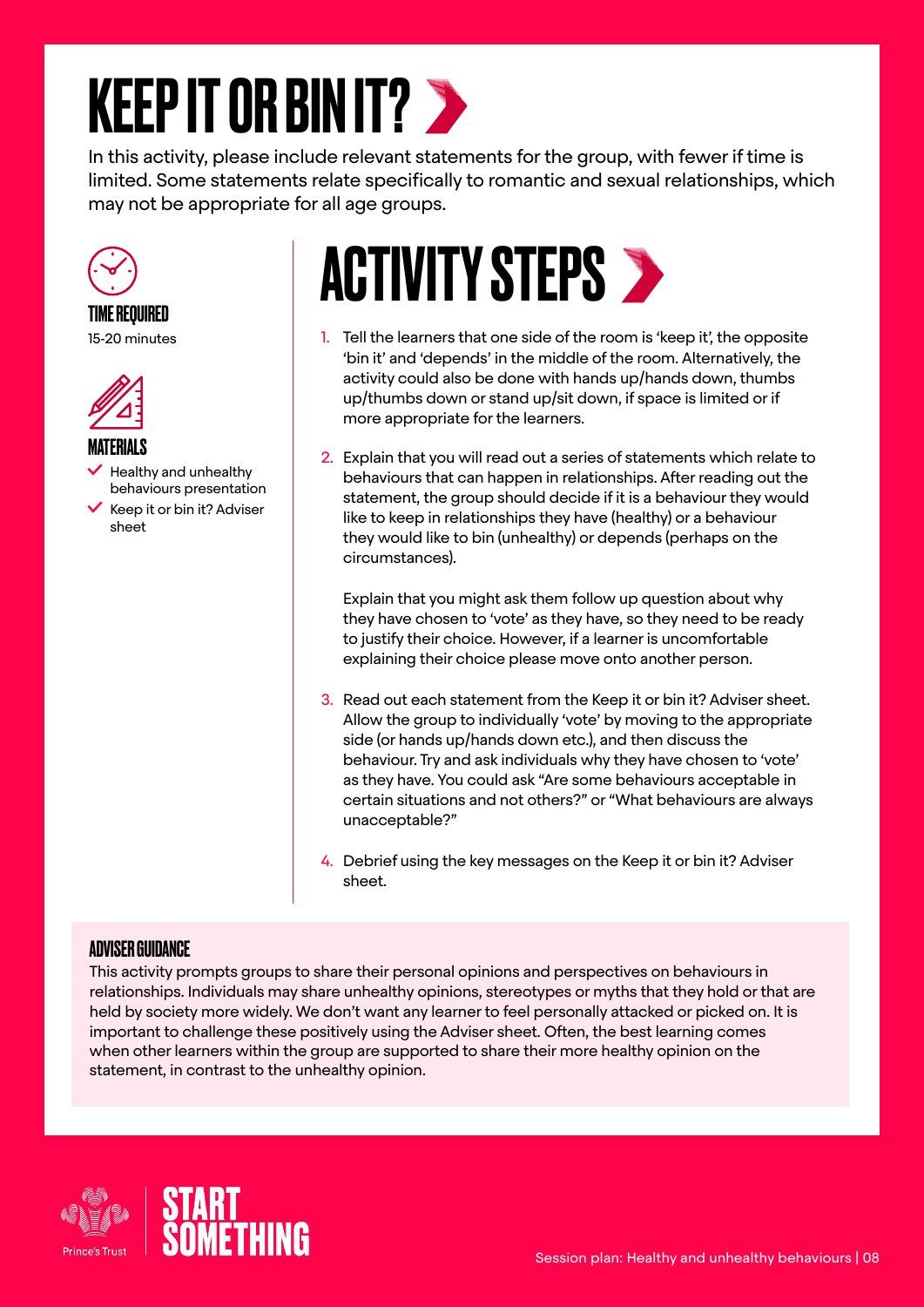### <span id="page-7-0"></span>KEEP IT OR BIN IT?

In this activity, please include relevant statements for the group, with fewer if time is limited. Some statements relate specifically to romantic and sexual relationships, which may not be appropriate for all age groups.



#### TIME REQUIRED 15-20 minutes



#### MATERIALS

 Healthy and unhealthy behaviours presentation

 $\checkmark$  Keep it or bin it? Adviser sheet

### **ACTIVITY STEPS >**

- 1. Tell the learners that one side of the room is 'keep it', the opposite 'bin it' and 'depends' in the middle of the room. Alternatively, the activity could also be done with hands up/hands down, thumbs up/thumbs down or stand up/sit down, if space is limited or if more appropriate for the learners.
- 2. Explain that you will read out a series of statements which relate to behaviours that can happen in relationships. After reading out the statement, the group should decide if it is a behaviour they would like to keep in relationships they have (healthy) or a behaviour they would like to bin (unhealthy) or depends (perhaps on the circumstances).

Explain that you might ask them follow up question about why they have chosen to 'vote' as they have, so they need to be ready to justify their choice. However, if a learner is uncomfortable explaining their choice please move onto another person.

- 3. Read out each statement from the Keep it or bin it? Adviser sheet. Allow the group to individually 'vote' by moving to the appropriate side (or hands up/hands down etc.), and then discuss the behaviour. Try and ask individuals why they have chosen to 'vote' as they have. You could ask "Are some behaviours acceptable in certain situations and not others?" or "What behaviours are always unacceptable?"
- 4. Debrief using the key messages on the Keep it or bin it? Adviser sheet.

#### ADVISER GUIDANCE

This activity prompts groups to share their personal opinions and perspectives on behaviours in relationships. Individuals may share unhealthy opinions, stereotypes or myths that they hold or that are held by society more widely. We don't want any learner to feel personally attacked or picked on. It is important to challenge these positively using the Adviser sheet. Often, the best learning comes when other learners within the group are supported to share their more healthy opinion on the statement, in contrast to the unhealthy opinion.



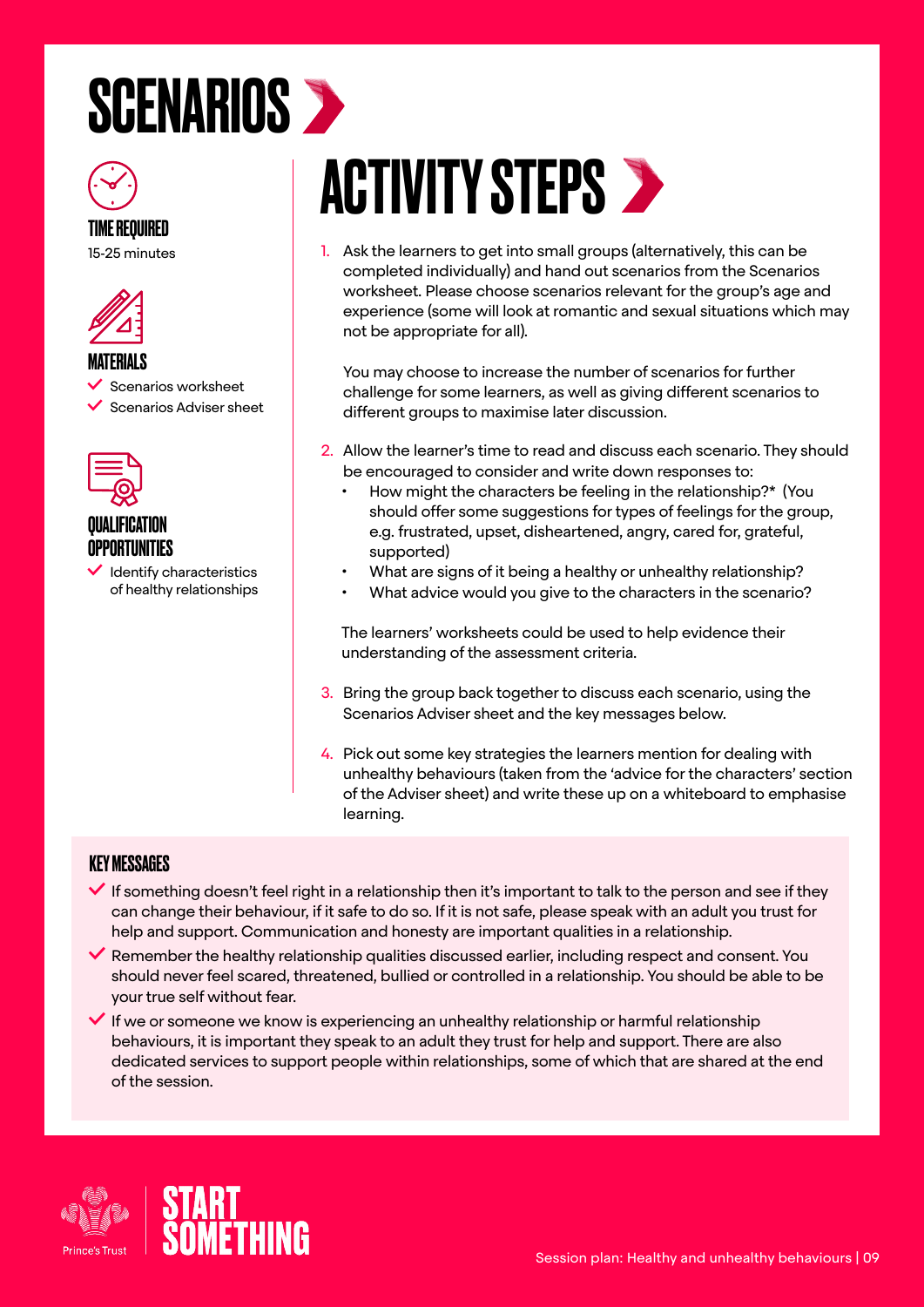### <span id="page-8-0"></span>**SCENARIOS >**



15-25 minutes



#### **MATFRIALS**

Scenarios worksheet

Scenarios Adviser sheet



#### QUALIFICATION OPPORTUNITIES

 Identify characteristics of healthy relationships

### **ACTIVITY STEPS >**

1. Ask the learners to get into small groups (alternatively, this can be completed individually) and hand out scenarios from the Scenarios worksheet. Please choose scenarios relevant for the group's age and experience (some will look at romantic and sexual situations which may not be appropriate for all).

You may choose to increase the number of scenarios for further challenge for some learners, as well as giving different scenarios to different groups to maximise later discussion.

- 2. Allow the learner's time to read and discuss each scenario. They should be encouraged to consider and write down responses to:
	- How might the characters be feeling in the relationship?\* (You should offer some suggestions for types of feelings for the group, e.g. frustrated, upset, disheartened, angry, cared for, grateful, supported)
	- What are signs of it being a healthy or unhealthy relationship?
	- What advice would you give to the characters in the scenario?

The learners' worksheets could be used to help evidence their understanding of the assessment criteria.

- 3. Bring the group back together to discuss each scenario, using the Scenarios Adviser sheet and the key messages below.
- 4. Pick out some key strategies the learners mention for dealing with unhealthy behaviours (taken from the 'advice for the characters' section of the Adviser sheet) and write these up on a whiteboard to emphasise learning.

#### KEY MESSAGES

- $\blacktriangledown$  If something doesn't feel right in a relationship then it's important to talk to the person and see if they can change their behaviour, if it safe to do so. If it is not safe, please speak with an adult you trust for help and support. Communication and honesty are important qualities in a relationship.
- $\blacktriangledown$  Remember the healthy relationship qualities discussed earlier, including respect and consent. You should never feel scared, threatened, bullied or controlled in a relationship. You should be able to be your true self without fear.
- $\blacktriangledown$  If we or someone we know is experiencing an unhealthy relationship or harmful relationship behaviours, it is important they speak to an adult they trust for help and support. There are also dedicated services to support people within relationships, some of which that are shared at the end of the session.

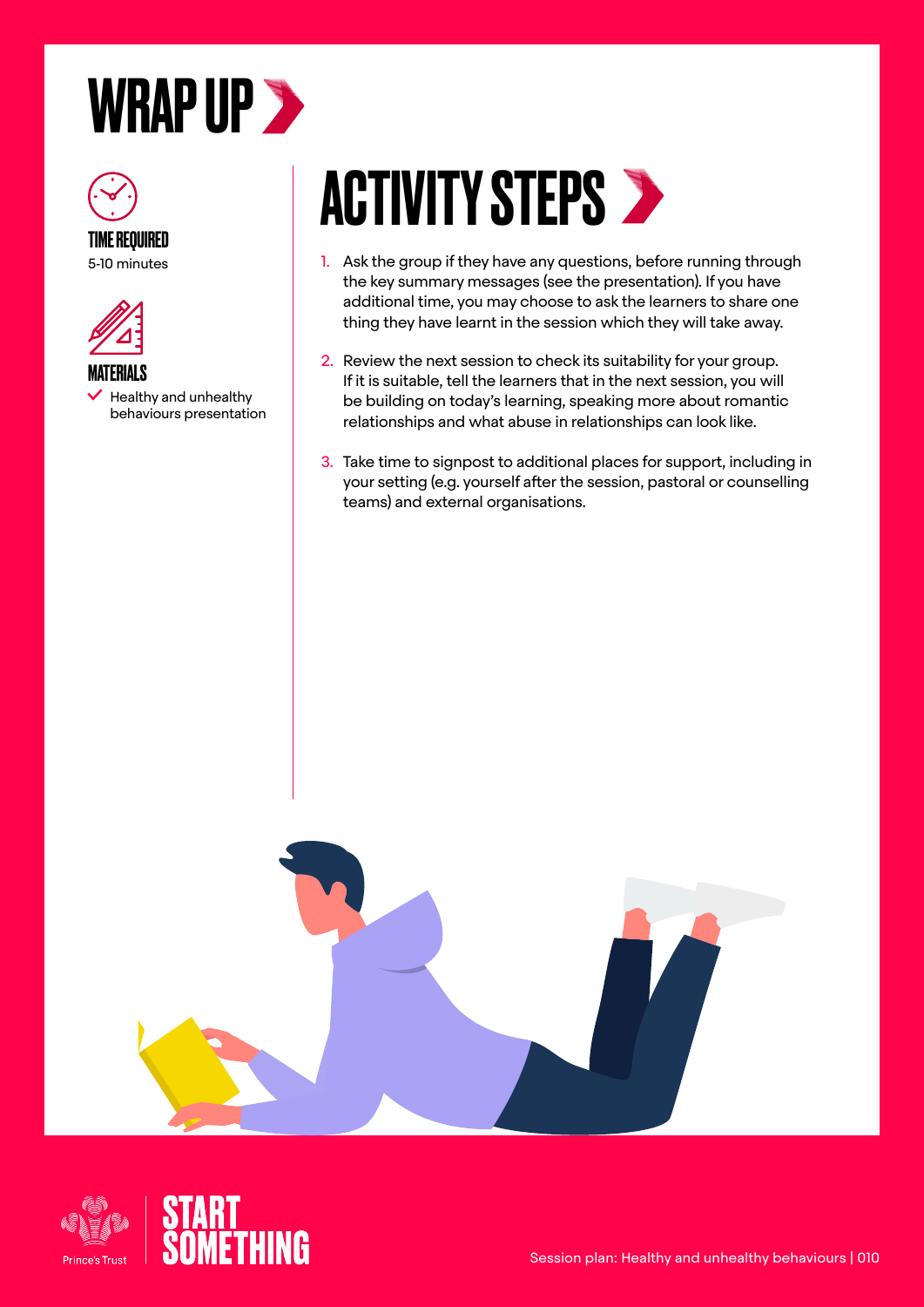### <span id="page-9-0"></span>WRAP UP >





 Healthy and unhealthy behaviours presentation

# **ACTIVITY STEPS >**

- 1. Ask the group if they have any questions, before running through the key summary messages (see the presentation). If you have additional time, you may choose to ask the learners to share one thing they have learnt in the session which they will take away.
- 2. Review the next session to check its suitability for your group. If it is suitable, tell the learners that in the next session, you will be building on today's learning, speaking more about romantic relationships and what abuse in relationships can look like.
- 3. Take time to signpost to additional places for support, including in your setting (e.g. yourself after the session, pastoral or counselling teams) and external organisations.